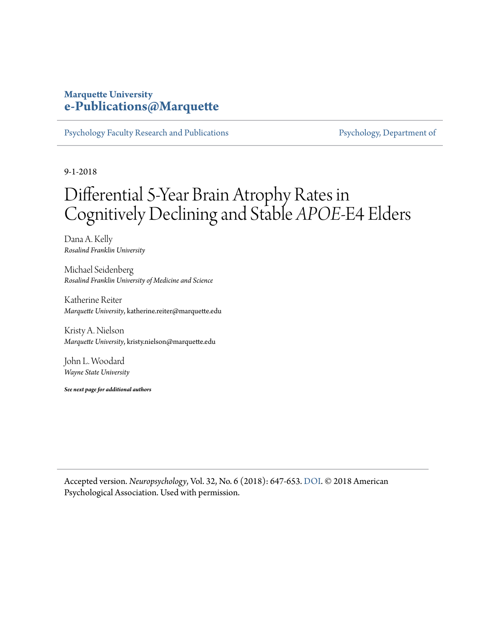## **Marquette University [e-Publications@Marquette](https://epublications.marquette.edu/)**

[Psychology Faculty Research and Publications](https://epublications.marquette.edu/psych_fac) [Psychology, Department of](https://epublications.marquette.edu/psychology)

9-1-2018

## Differential 5-Year Brain Atrophy Rates in Cognitively Declining and Stable *APOE*-Ε4 Elders

Dana A. Kelly *Rosalind Franklin University*

Michael Seidenberg *Rosalind Franklin University of Medicine and Science*

Katherine Reiter *Marquette University*, katherine.reiter@marquette.edu

Kristy A. Nielson *Marquette University*, kristy.nielson@marquette.edu

John L. Woodard *Wayne State University*

*See next page for additional authors*

Accepted version. *Neuropsychology*, Vol. 32, No. 6 (2018): 647-653. [DOI](http://dx.doi.org/10.1037/neu0000444). © 2018 American Psychological Association. Used with permission.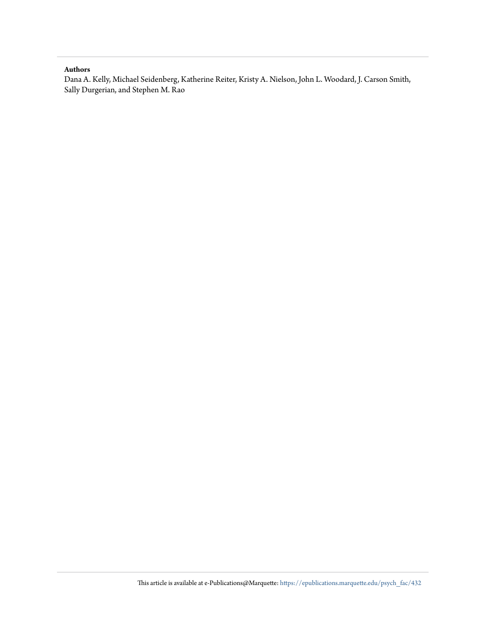#### **Authors**

Dana A. Kelly, Michael Seidenberg, Katherine Reiter, Kristy A. Nielson, John L. Woodard, J. Carson Smith, Sally Durgerian, and Stephen M. Rao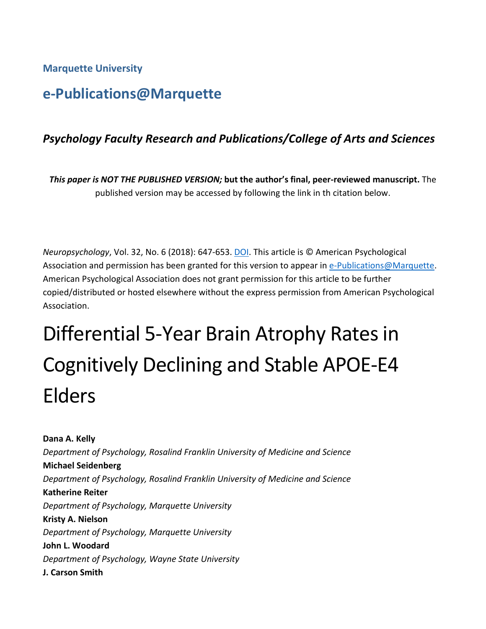## **Marquette University**

## **e-Publications@Marquette**

## *Psychology Faculty Research and Publications/College of Arts and Sciences*

*This paper is NOT THE PUBLISHED VERSION;* **but the author's final, peer-reviewed manuscript.** The published version may be accessed by following the link in th citation below.

*Neuropsychology*, Vol. 32, No. 6 (2018): 647-653. [DOI.](http://dx.doi.org/10.1037/neu0000444) This article is © American Psychological Association and permission has been granted for this version to appear in [e-Publications@Marquette.](http://epublications.marquette.edu/) American Psychological Association does not grant permission for this article to be further copied/distributed or hosted elsewhere without the express permission from American Psychological Association.

# Differential 5-Year Brain Atrophy Rates in Cognitively Declining and Stable APOE-Ε4 Elders

**Dana A. Kelly** *Department of Psychology, Rosalind Franklin University of Medicine and Science* **Michael Seidenberg** *Department of Psychology, Rosalind Franklin University of Medicine and Science* **Katherine Reiter** *Department of Psychology, Marquette University* **Kristy A. Nielson** *Department of Psychology, Marquette University* **John L. Woodard** *Department of Psychology, Wayne State University* **J. Carson Smith**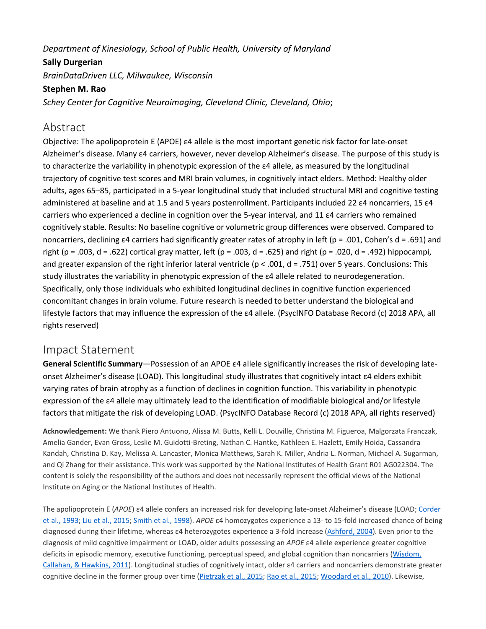### *Department of Kinesiology, School of Public Health, University of Maryland*

#### **Sally Durgerian**

*BrainDataDriven LLC, Milwaukee, Wisconsin*

#### **Stephen M. Rao**

*Schey Center for Cognitive Neuroimaging, Cleveland Clinic, Cleveland, Ohio*;

## Abstract

Objective: The apolipoprotein E (APOE) ε4 allele is the most important genetic risk factor for late-onset Alzheimer's disease. Many ε4 carriers, however, never develop Alzheimer's disease. The purpose of this study is to characterize the variability in phenotypic expression of the ε4 allele, as measured by the longitudinal trajectory of cognitive test scores and MRI brain volumes, in cognitively intact elders. Method: Healthy older adults, ages 65–85, participated in a 5-year longitudinal study that included structural MRI and cognitive testing administered at baseline and at 1.5 and 5 years postenrollment. Participants included 22 ε4 noncarriers, 15 ε4 carriers who experienced a decline in cognition over the 5-year interval, and 11 ε4 carriers who remained cognitively stable. Results: No baseline cognitive or volumetric group differences were observed. Compared to noncarriers, declining ε4 carriers had significantly greater rates of atrophy in left (p = .001, Cohen's d = .691) and right (p = .003, d = .622) cortical gray matter, left (p = .003, d = .625) and right (p = .020, d = .492) hippocampi, and greater expansion of the right inferior lateral ventricle ( $p < .001$ ,  $d = .751$ ) over 5 years. Conclusions: This study illustrates the variability in phenotypic expression of the ε4 allele related to neurodegeneration. Specifically, only those individuals who exhibited longitudinal declines in cognitive function experienced concomitant changes in brain volume. Future research is needed to better understand the biological and lifestyle factors that may influence the expression of the ε4 allele. (PsycINFO Database Record (c) 2018 APA, all rights reserved)

## Impact Statement

**General Scientific Summary**—Possession of an APOE ε4 allele significantly increases the risk of developing lateonset Alzheimer's disease (LOAD). This longitudinal study illustrates that cognitively intact ε4 elders exhibit varying rates of brain atrophy as a function of declines in cognition function. This variability in phenotypic expression of the ε4 allele may ultimately lead to the identification of modifiable biological and/or lifestyle factors that mitigate the risk of developing LOAD. (PsycINFO Database Record (c) 2018 APA, all rights reserved)

**Acknowledgement:** We thank Piero Antuono, Alissa M. Butts, Kelli L. Douville, Christina M. Figueroa, Malgorzata Franczak, Amelia Gander, Evan Gross, Leslie M. Guidotti-Breting, Nathan C. Hantke, Kathleen E. Hazlett, Emily Hoida, Cassandra Kandah, Christina D. Kay, Melissa A. Lancaster, Monica Matthews, Sarah K. Miller, Andria L. Norman, Michael A. Sugarman, and Qi Zhang for their assistance. This work was supported by the National Institutes of Health Grant R01 AG022304. The content is solely the responsibility of the authors and does not necessarily represent the official views of the National Institute on Aging or the National Institutes of Health.

The apolipoprotein E (*APOE*) ε4 allele confers an increased risk for developing late-onset Alzheimer's disease (LOAD; [Corder](https://0-web-b-ebscohost-com.libus.csd.mu.edu/ehost/detail/detail?vid=2&sid=e4b036ec-461a-47a7-bc9e-307d3aa3ff5a%40sessionmgr101&bdata=JnNpdGU9ZWhvc3QtbGl2ZQ%3d%3d#c3) et al., [1993](https://0-web-b-ebscohost-com.libus.csd.mu.edu/ehost/detail/detail?vid=2&sid=e4b036ec-461a-47a7-bc9e-307d3aa3ff5a%40sessionmgr101&bdata=JnNpdGU9ZWhvc3QtbGl2ZQ%3d%3d#c3); Liu et al., [2015;](https://0-web-b-ebscohost-com.libus.csd.mu.edu/ehost/detail/detail?vid=2&sid=e4b036ec-461a-47a7-bc9e-307d3aa3ff5a%40sessionmgr101&bdata=JnNpdGU9ZWhvc3QtbGl2ZQ%3d%3d#c11) [Smith](https://0-web-b-ebscohost-com.libus.csd.mu.edu/ehost/detail/detail?vid=2&sid=e4b036ec-461a-47a7-bc9e-307d3aa3ff5a%40sessionmgr101&bdata=JnNpdGU9ZWhvc3QtbGl2ZQ%3d%3d#c25) et al., 1998). *APOE* ε4 homozygotes experience a 13- to 15-fold increased chance of being diagnosed during their lifetime, whereas ε4 heterozygotes experience a 3-fold increase [\(Ashford,](https://0-web-b-ebscohost-com.libus.csd.mu.edu/ehost/detail/detail?vid=2&sid=e4b036ec-461a-47a7-bc9e-307d3aa3ff5a%40sessionmgr101&bdata=JnNpdGU9ZWhvc3QtbGl2ZQ%3d%3d#c1) 2004). Even prior to the diagnosis of mild cognitive impairment or LOAD, older adults possessing an *APOE* ε4 allele experience greater cognitive deficits in episodic memory, executive functioning, perceptual speed, and global cognition than noncarriers [\(Wisdom,](https://0-web-b-ebscohost-com.libus.csd.mu.edu/ehost/detail/detail?vid=2&sid=e4b036ec-461a-47a7-bc9e-307d3aa3ff5a%40sessionmgr101&bdata=JnNpdGU9ZWhvc3QtbGl2ZQ%3d%3d#c31) [Callahan,](https://0-web-b-ebscohost-com.libus.csd.mu.edu/ehost/detail/detail?vid=2&sid=e4b036ec-461a-47a7-bc9e-307d3aa3ff5a%40sessionmgr101&bdata=JnNpdGU9ZWhvc3QtbGl2ZQ%3d%3d#c31) & Hawkins, 2011). Longitudinal studies of cognitively intact, older ε4 carriers and noncarriers demonstrate greater cognitive decline in the former group over time [\(Pietrzak](https://0-web-b-ebscohost-com.libus.csd.mu.edu/ehost/detail/detail?vid=2&sid=e4b036ec-461a-47a7-bc9e-307d3aa3ff5a%40sessionmgr101&bdata=JnNpdGU9ZWhvc3QtbGl2ZQ%3d%3d#c15) et al., [2015;](https://0-web-b-ebscohost-com.libus.csd.mu.edu/ehost/detail/detail?vid=2&sid=e4b036ec-461a-47a7-bc9e-307d3aa3ff5a%40sessionmgr101&bdata=JnNpdGU9ZWhvc3QtbGl2ZQ%3d%3d#c16) Rao et al., 2015; [Woodard](https://0-web-b-ebscohost-com.libus.csd.mu.edu/ehost/detail/detail?vid=2&sid=e4b036ec-461a-47a7-bc9e-307d3aa3ff5a%40sessionmgr101&bdata=JnNpdGU9ZWhvc3QtbGl2ZQ%3d%3d#c32) et al., 2010). Likewise,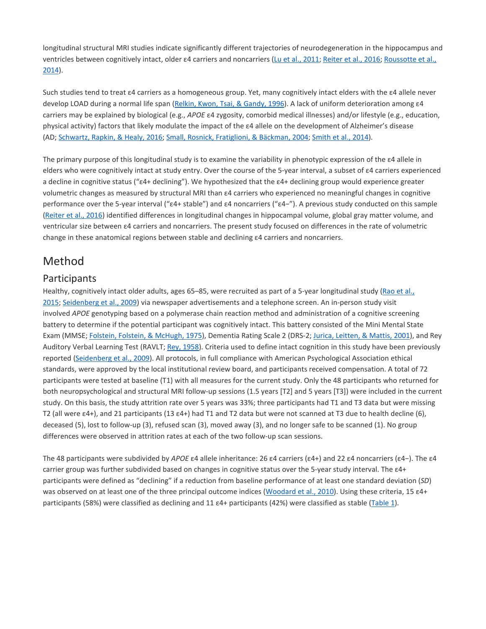longitudinal structural MRI studies indicate significantly different trajectories of neurodegeneration in the hippocampus and ventricles between cognitively intact, older ε4 carriers and noncarriers (Lu et al., [2011;](https://0-web-b-ebscohost-com.libus.csd.mu.edu/ehost/detail/detail?vid=2&sid=e4b036ec-461a-47a7-bc9e-307d3aa3ff5a%40sessionmgr101&bdata=JnNpdGU9ZWhvc3QtbGl2ZQ%3d%3d#c12) [Reiter](https://0-web-b-ebscohost-com.libus.csd.mu.edu/ehost/detail/detail?vid=2&sid=e4b036ec-461a-47a7-bc9e-307d3aa3ff5a%40sessionmgr101&bdata=JnNpdGU9ZWhvc3QtbGl2ZQ%3d%3d#c17) et al., 2016; [Roussotte](https://0-web-b-ebscohost-com.libus.csd.mu.edu/ehost/detail/detail?vid=2&sid=e4b036ec-461a-47a7-bc9e-307d3aa3ff5a%40sessionmgr101&bdata=JnNpdGU9ZWhvc3QtbGl2ZQ%3d%3d#c20) et al., [2014\)](https://0-web-b-ebscohost-com.libus.csd.mu.edu/ehost/detail/detail?vid=2&sid=e4b036ec-461a-47a7-bc9e-307d3aa3ff5a%40sessionmgr101&bdata=JnNpdGU9ZWhvc3QtbGl2ZQ%3d%3d#c20).

Such studies tend to treat ε4 carriers as a homogeneous group. Yet, many cognitively intact elders with the ε4 allele never develop LOAD during a normal life span [\(Relkin,](https://0-web-b-ebscohost-com.libus.csd.mu.edu/ehost/detail/detail?vid=2&sid=e4b036ec-461a-47a7-bc9e-307d3aa3ff5a%40sessionmgr101&bdata=JnNpdGU9ZWhvc3QtbGl2ZQ%3d%3d#c18) Kwon, Tsai, & Gandy, 1996). A lack of uniform deterioration among ε4 carriers may be explained by biological (e.g., *APOE* ε4 zygosity, comorbid medical illnesses) and/or lifestyle (e.g., education, physical activity) factors that likely modulate the impact of the ε4 allele on the development of Alzheimer's disease (AD; [Schwartz,](https://0-web-b-ebscohost-com.libus.csd.mu.edu/ehost/detail/detail?vid=2&sid=e4b036ec-461a-47a7-bc9e-307d3aa3ff5a%40sessionmgr101&bdata=JnNpdGU9ZWhvc3QtbGl2ZQ%3d%3d#c22) Rapkin, & Healy, 2016; Small, Rosnick, [Fratiglioni,](https://0-web-b-ebscohost-com.libus.csd.mu.edu/ehost/detail/detail?vid=2&sid=e4b036ec-461a-47a7-bc9e-307d3aa3ff5a%40sessionmgr101&bdata=JnNpdGU9ZWhvc3QtbGl2ZQ%3d%3d#c24) & Bäckman, 2004; [Smith](https://0-web-b-ebscohost-com.libus.csd.mu.edu/ehost/detail/detail?vid=2&sid=e4b036ec-461a-47a7-bc9e-307d3aa3ff5a%40sessionmgr101&bdata=JnNpdGU9ZWhvc3QtbGl2ZQ%3d%3d#c28) et al., 2014).

The primary purpose of this longitudinal study is to examine the variability in phenotypic expression of the ε4 allele in elders who were cognitively intact at study entry. Over the course of the 5-year interval, a subset of ε4 carriers experienced a decline in cognitive status ("ε4+ declining"). We hypothesized that the ε4+ declining group would experience greater volumetric changes as measured by structural MRI than ε4 carriers who experienced no meaningful changes in cognitive performance over the 5-year interval ("ε4+ stable") and ε4 noncarriers ("ε4−"). A previous study conducted on this sample [\(Reiter](https://0-web-b-ebscohost-com.libus.csd.mu.edu/ehost/detail/detail?vid=2&sid=e4b036ec-461a-47a7-bc9e-307d3aa3ff5a%40sessionmgr101&bdata=JnNpdGU9ZWhvc3QtbGl2ZQ%3d%3d#c17) et al., 2016) identified differences in longitudinal changes in hippocampal volume, global gray matter volume, and ventricular size between ε4 carriers and noncarriers. The present study focused on differences in the rate of volumetric change in these anatomical regions between stable and declining ε4 carriers and noncarriers.

## [Method](https://0-web-b-ebscohost-com.libus.csd.mu.edu/ehost/detail/detail?vid=2&sid=e4b036ec-461a-47a7-bc9e-307d3aa3ff5a%40sessionmgr101&bdata=JnNpdGU9ZWhvc3QtbGl2ZQ%3d%3d#toc)

### **Participants**

Healthy, cognitively intact older adults, ages 65–85, were recruited as part of a 5-year longitudinal study [\(Rao](https://0-web-b-ebscohost-com.libus.csd.mu.edu/ehost/detail/detail?vid=2&sid=e4b036ec-461a-47a7-bc9e-307d3aa3ff5a%40sessionmgr101&bdata=JnNpdGU9ZWhvc3QtbGl2ZQ%3d%3d#c16) et al., [2015;](https://0-web-b-ebscohost-com.libus.csd.mu.edu/ehost/detail/detail?vid=2&sid=e4b036ec-461a-47a7-bc9e-307d3aa3ff5a%40sessionmgr101&bdata=JnNpdGU9ZWhvc3QtbGl2ZQ%3d%3d#c16) [Seidenberg](https://0-web-b-ebscohost-com.libus.csd.mu.edu/ehost/detail/detail?vid=2&sid=e4b036ec-461a-47a7-bc9e-307d3aa3ff5a%40sessionmgr101&bdata=JnNpdGU9ZWhvc3QtbGl2ZQ%3d%3d#c23) et al., 2009) via newspaper advertisements and a telephone screen. An in-person study visit involved *APOE* genotyping based on a polymerase chain reaction method and administration of a cognitive screening battery to determine if the potential participant was cognitively intact. This battery consisted of the Mini Mental State Exam (MMSE; Folstein, Folstein, & [McHugh,](https://0-web-b-ebscohost-com.libus.csd.mu.edu/ehost/detail/detail?vid=2&sid=e4b036ec-461a-47a7-bc9e-307d3aa3ff5a%40sessionmgr101&bdata=JnNpdGU9ZWhvc3QtbGl2ZQ%3d%3d#c6) 1975), Dementia Rating Scale 2 (DRS-2; Jurica, [Leitten,](https://0-web-b-ebscohost-com.libus.csd.mu.edu/ehost/detail/detail?vid=2&sid=e4b036ec-461a-47a7-bc9e-307d3aa3ff5a%40sessionmgr101&bdata=JnNpdGU9ZWhvc3QtbGl2ZQ%3d%3d#c8) & Mattis, 2001), and Rey Auditory Verbal Learning Test (RAVLT; Rey, [1958](https://0-web-b-ebscohost-com.libus.csd.mu.edu/ehost/detail/detail?vid=2&sid=e4b036ec-461a-47a7-bc9e-307d3aa3ff5a%40sessionmgr101&bdata=JnNpdGU9ZWhvc3QtbGl2ZQ%3d%3d#c19)). Criteria used to define intact cognition in this study have been previously reported [\(Seidenberg](https://0-web-b-ebscohost-com.libus.csd.mu.edu/ehost/detail/detail?vid=2&sid=e4b036ec-461a-47a7-bc9e-307d3aa3ff5a%40sessionmgr101&bdata=JnNpdGU9ZWhvc3QtbGl2ZQ%3d%3d#c23) et al., 2009). All protocols, in full compliance with American Psychological Association ethical standards, were approved by the local institutional review board, and participants received compensation. A total of 72 participants were tested at baseline (T1) with all measures for the current study. Only the 48 participants who returned for both neuropsychological and structural MRI follow-up sessions (1.5 years [T2] and 5 years [T3]) were included in the current study. On this basis, the study attrition rate over 5 years was 33%; three participants had T1 and T3 data but were missing T2 (all were  $\epsilon$ 4+), and 21 participants (13  $\epsilon$ 4+) had T1 and T2 data but were not scanned at T3 due to health decline (6), deceased (5), lost to follow-up (3), refused scan (3), moved away (3), and no longer safe to be scanned (1). No group differences were observed in attrition rates at each of the two follow-up scan sessions.

The 48 participants were subdivided by *APOE* ε4 allele inheritance: 26 ε4 carriers (ε4+) and 22 ε4 noncarriers (ε4−). The ε4 carrier group was further subdivided based on changes in cognitive status over the 5-year study interval. The ε4+ participants were defined as "declining" if a reduction from baseline performance of at least one standard deviation (*SD*) was observed on at least one of the three principal outcome indices [\(Woodard](https://0-web-b-ebscohost-com.libus.csd.mu.edu/ehost/detail/detail?vid=2&sid=e4b036ec-461a-47a7-bc9e-307d3aa3ff5a%40sessionmgr101&bdata=JnNpdGU9ZWhvc3QtbGl2ZQ%3d%3d#c32) et al., 2010). Using these criteria, 15 ε4+ participants (58%) were classified as declining and 11  $\epsilon$ 4+ participants (42%) were classified as stable ([Table](https://0-web-b-ebscohost-com.libus.csd.mu.edu/ehost/detail/detail?vid=2&sid=e4b036ec-461a-47a7-bc9e-307d3aa3ff5a%40sessionmgr101&bdata=JnNpdGU9ZWhvc3QtbGl2ZQ%3d%3d#tbl1) 1).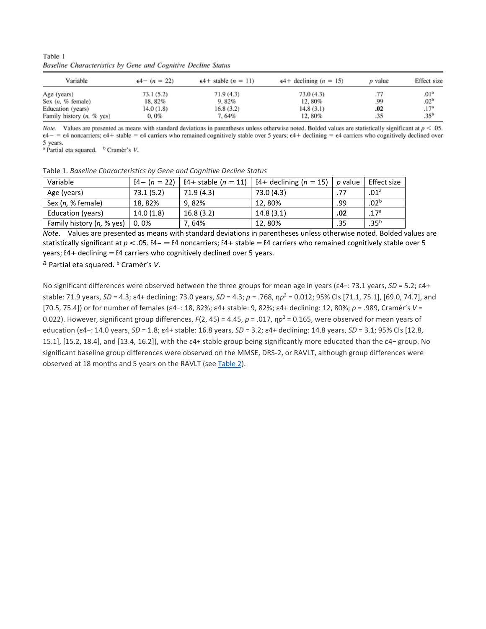Table 1 Baseline Characteristics by Gene and Cognitive Decline Status

| Variable                                                                               | $\epsilon$ 4- $(n = 22)$                   | $\epsilon$ 4+ stable (n = 11)            | $\epsilon$ 4+ declining (n = 15)           | p value           | Effect size                                                                                     |
|----------------------------------------------------------------------------------------|--------------------------------------------|------------------------------------------|--------------------------------------------|-------------------|-------------------------------------------------------------------------------------------------|
| Age (years)<br>Sex $(n, %$ female)<br>Education (years)<br>Family history $(n, %$ yes) | 73.1(5.2)<br>18, 82%<br>14.0 (1.8)<br>0,0% | 71.9(4.3)<br>9,82%<br>16.8(3.2)<br>7.64% | 73.0(4.3)<br>12,80%<br>14.8(3.1)<br>12,80% | .99<br>.02<br>.35 | $.01$ <sup><math>\circ</math></sup><br>.02 <sup>b</sup><br>.17 <sup>a</sup><br>.35 <sup>b</sup> |

*Note.* Values are presented as means with standard deviations in parentheses unless otherwise noted. Bolded values are statistically significant at  $p < .05$ .  $\epsilon$ 4 -  $\epsilon$  and the state  $\epsilon$  and  $\epsilon$  =  $\epsilon$  and the state of carriers who remained cognitively stable over 5 years;  $\epsilon$  4 + declining =  $\epsilon$  4 carriers who cognitively declined over 5 years.

<sup>a</sup> Partial eta squared. <sup>b</sup> Cramèr's V.

| Table 1. Baseline Characteristics by Gene and Cognitive Decline Status                                       |           |            |            |     |                  |  |  |  |
|--------------------------------------------------------------------------------------------------------------|-----------|------------|------------|-----|------------------|--|--|--|
| E4+ declining ( $n = 15$ )   p value<br>Effect size<br>E4+ stable $(n = 11)$<br>Variable<br>$[4 - (n = 22)]$ |           |            |            |     |                  |  |  |  |
| Age (years)                                                                                                  | 73.1(5.2) | 71.9 (4.3) | 73.0 (4.3) | .77 | .01 <sup>a</sup> |  |  |  |
| Sex (n, % female)                                                                                            | 18,82%    | 9.82%      | 12,80%     | .99 | .02 <sup>b</sup> |  |  |  |
| Education (years)                                                                                            | 14.0(1.8) | 16.8(3.2)  | 14.8(3.1)  | .02 | .17 <sup>a</sup> |  |  |  |
| Family history (n, % yes)                                                                                    | 0.0%      | 7.64%      | 12,80%     | .35 | $.35^{b}$        |  |  |  |

*Note*. Values are presented as means with standard deviations in parentheses unless otherwise noted. Bolded values are statistically significant at  $p < .05$ . E4- = E4 noncarriers; E4+ stable = E4 carriers who remained cognitively stable over 5 years;  $E4+$  declining = E4 carriers who cognitively declined over 5 years.

a Partial eta squared. b Cramèr's *V*.

No significant differences were observed between the three groups for mean age in years (ε4−: 73.1 years, *SD* = 5.2; ε4+ stable: 71.9 years, *SD* = 4.3; ε4+ declining: 73.0 years, *SD* = 4.3; *p* = .768, η*p*<sup>2</sup> = 0.012; 95% CIs [71.1, 75.1], [69.0, 74.7], and [70.5, 75.4]) or for number of females (ε4−: 18, 82%; ε4+ stable: 9, 82%; ε4+ declining: 12, 80%; *p* = .989, Cramèr's *V* = 0.022). However, significant group differences,  $F(2, 45) = 4.45$ ,  $p = .017$ ,  $np^2 = 0.165$ , were observed for mean years of education (ε4−: 14.0 years, *SD* = 1.8; ε4+ stable: 16.8 years, *SD* = 3.2; ε4+ declining: 14.8 years, *SD* = 3.1; 95% CIs [12.8, 15.1], [15.2, 18.4], and [13.4, 16.2]), with the ε4+ stable group being significantly more educated than the ε4− group. No significant baseline group differences were observed on the MMSE, DRS-2, or RAVLT, although group differences were observed at 18 months and 5 years on the RAVLT (see [Table](https://0-web-b-ebscohost-com.libus.csd.mu.edu/ehost/detail/detail?vid=2&sid=e4b036ec-461a-47a7-bc9e-307d3aa3ff5a%40sessionmgr101&bdata=JnNpdGU9ZWhvc3QtbGl2ZQ%3d%3d#tbl2) 2).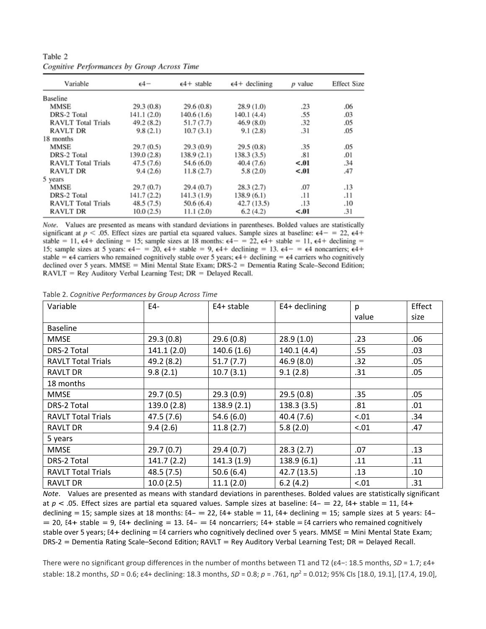| Variable                  | $\epsilon$ 4- | $\epsilon$ 4+ stable | $\epsilon$ 4+ declining | $p$ value | <b>Effect Size</b> |
|---------------------------|---------------|----------------------|-------------------------|-----------|--------------------|
| <b>Baseline</b>           |               |                      |                         |           |                    |
| <b>MMSE</b>               | 29.3(0.8)     | 29.6(0.8)            | 28.9(1.0)               | .23       | .06                |
| DRS-2 Total               | 141.1 (2.0)   | 140.6(1.6)           | 140.1 (4.4)             | .55       | .03                |
| <b>RAVLT</b> Total Trials | 49.2(8.2)     | 51.7(7.7)            | 46.9(8.0)               | .32       | .05                |
| <b>RAVLT DR</b>           | 9.8(2.1)      | 10.7(3.1)            | 9.1(2.8)                | .31       | .05                |
| 18 months                 |               |                      |                         |           |                    |
| <b>MMSE</b>               | 29.7(0.5)     | 29.3(0.9)            | 29.5(0.8)               | .35       | .05                |
| DRS-2 Total               | 139.0 (2.8)   | 138.9(2.1)           | 138.3(3.5)              | .81       | .01                |
| <b>RAVLT</b> Total Trials | 47.5(7.6)     | 54.6 (6.0)           | 40.4 (7.6)              | < .01     | .34                |
| <b>RAVLT DR</b>           | 9.4(2.6)      | 11.8(2.7)            | 5.8(2.0)                | < .01     | .47                |
| 5 years                   |               |                      |                         |           |                    |
| <b>MMSE</b>               | 29.7(0.7)     | 29.4(0.7)            | 28.3(2.7)               | .07       | .13                |
| DRS-2 Total               | 141.7 (2.2)   | 141.3 (1.9)          | 138.9(6.1)              | .11       | .11                |
| <b>RAVLT</b> Total Trials | 48.5(7.5)     | 50.6(6.4)            | 42.7(13.5)              | .13       | .10                |
| <b>RAVLT DR</b>           | 10.0(2.5)     | 11.1(2.0)            | 6.2(4.2)                | $-.01$    | .31                |

Table 2 **Cognitive Performances by Group Across Time** 

Note. Values are presented as means with standard deviations in parentheses. Bolded values are statistically significant at  $p < .05$ . Effect sizes are partial eta squared values. Sample sizes at baseline:  $\epsilon 4 = 22$ ,  $\epsilon 4 +$ stable = 11,  $\epsilon$ 4+ declining = 15; sample sizes at 18 months:  $\epsilon$ 4- = 22,  $\epsilon$ 4+ stable = 11,  $\epsilon$ 4+ declining = 15; sample sizes at 5 years:  $\epsilon 4 - 20$ ,  $\epsilon 4 +$  stable = 9,  $\epsilon 4 +$  declining = 13.  $\epsilon 4 - 4$  noncarriers;  $\epsilon 4 +$ stable =  $\epsilon$ 4 carriers who remained cognitively stable over 5 years;  $\epsilon$ 4+ declining =  $\epsilon$ 4 carriers who cognitively declined over 5 years. MMSE = Mini Mental State Exam; DRS-2 = Dementia Rating Scale-Second Edition; RAVLT = Rey Auditory Verbal Learning Test; DR = Delayed Recall.

Table 2. *Cognitive Performances by Group Across Time*

| Variable                  | $E4-$       | E4+ stable | $E4+$ declining | р     | Effect |
|---------------------------|-------------|------------|-----------------|-------|--------|
|                           |             |            |                 | value | size   |
| <b>Baseline</b>           |             |            |                 |       |        |
| <b>MMSE</b>               | 29.3(0.8)   | 29.6(0.8)  | 28.9(1.0)       | .23   | .06    |
| DRS-2 Total               | 141.1(2.0)  | 140.6(1.6) | 140.1 (4.4)     | .55   | .03    |
| <b>RAVLT Total Trials</b> | 49.2 (8.2)  | 51.7(7.7)  | 46.9 (8.0)      | .32   | .05    |
| <b>RAVLT DR</b>           | 9.8(2.1)    | 10.7(3.1)  | 9.1(2.8)        | .31   | .05    |
| 18 months                 |             |            |                 |       |        |
| <b>MMSE</b>               | 29.7(0.5)   | 29.3(0.9)  | 29.5(0.8)       | .35   | .05    |
| DRS-2 Total               | 139.0 (2.8) | 138.9(2.1) | 138.3 (3.5)     | .81   | .01    |
| <b>RAVLT Total Trials</b> | 47.5 (7.6)  | 54.6(6.0)  | 40.4(7.6)       | < .01 | .34    |
| <b>RAVLT DR</b>           | 9.4(2.6)    | 11.8(2.7)  | 5.8(2.0)        | < .01 | .47    |
| 5 years                   |             |            |                 |       |        |
| <b>MMSE</b>               | 29.7(0.7)   | 29.4(0.7)  | 28.3(2.7)       | .07   | .13    |
| DRS-2 Total               | 141.7(2.2)  | 141.3(1.9) | 138.9(6.1)      | .11   | .11    |
| <b>RAVLT Total Trials</b> | 48.5 (7.5)  | 50.6(6.4)  | 42.7 (13.5)     | .13   | .10    |
| <b>RAVLT DR</b>           | 10.0(2.5)   | 11.1(2.0)  | 6.2(4.2)        | < .01 | .31    |

*Note*. Values are presented as means with standard deviations in parentheses. Bolded values are statistically significant at *<sup>p</sup>* < .05. Effect sizes are partial eta squared values. Sample sizes at baseline: E4- = 22, E4+ stable = 11, E4+ declining = 15; sample sizes at 18 months:  $E4-$  = 22,  $E4+$  stable = 11,  $E4+$  declining = 15; sample sizes at 5 years:  $E4 = 20$ , E4+ stable = 9, E4+ declining = 13. E4- = E4 noncarriers; E4+ stable = E4 carriers who remained cognitively stable over 5 years; E4+ declining = E4 carriers who cognitively declined over 5 years. MMSE = Mini Mental State Exam; DRS-2 = Dementia Rating Scale–Second Edition; RAVLT = Rey Auditory Verbal Learning Test; DR = Delayed Recall.

There were no significant group differences in the number of months between T1 and T2 (ε4−: 18.5 months, *SD* = 1.7; ε4+ stable: 18.2 months, *SD* = 0.6; ε4+ declining: 18.3 months, *SD* = 0.8; *p* = .761, η*p*<sup>2</sup> = 0.012; 95% CIs [18.0, 19.1], [17.4, 19.0],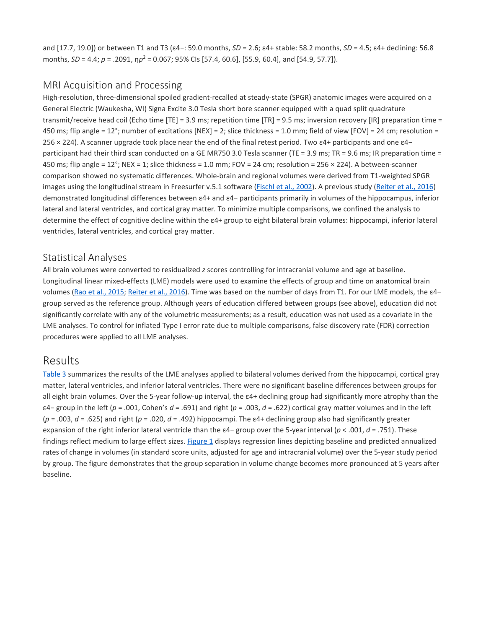and [17.7, 19.0]) or between T1 and T3 (ε4−: 59.0 months, *SD* = 2.6; ε4+ stable: 58.2 months, *SD* = 4.5; ε4+ declining: 56.8 months, *SD* = 4.4; *p* = .2091, η*p*<sup>2</sup> = 0.067; 95% CIs [57.4, 60.6], [55.9, 60.4], and [54.9, 57.7]).

#### MRI Acquisition and Processing

High-resolution, three-dimensional spoiled gradient-recalled at steady-state (SPGR) anatomic images were acquired on a General Electric (Waukesha, WI) Signa Excite 3.0 Tesla short bore scanner equipped with a quad split quadrature transmit/receive head coil (Echo time [TE] = 3.9 ms; repetition time [TR] = 9.5 ms; inversion recovery [IR] preparation time = 450 ms; flip angle = 12°; number of excitations [NEX] = 2; slice thickness = 1.0 mm; field of view [FOV] = 24 cm; resolution = 256 × 224). A scanner upgrade took place near the end of the final retest period. Two ε4+ participants and one ε4− participant had their third scan conducted on a GE MR750 3.0 Tesla scanner (TE = 3.9 ms; TR = 9.6 ms; IR preparation time = 450 ms; flip angle =  $12^{\circ}$ ; NEX = 1; slice thickness = 1.0 mm; FOV = 24 cm; resolution = 256  $\times$  224). A between-scanner comparison showed no systematic differences. Whole-brain and regional volumes were derived from T1-weighted SPGR images using the longitudinal stream in Freesurfer v.5.1 software [\(Fischl](https://0-web-b-ebscohost-com.libus.csd.mu.edu/ehost/detail/detail?vid=2&sid=e4b036ec-461a-47a7-bc9e-307d3aa3ff5a%40sessionmgr101&bdata=JnNpdGU9ZWhvc3QtbGl2ZQ%3d%3d#c5) et al., 2002). A previous study [\(Reiter](https://0-web-b-ebscohost-com.libus.csd.mu.edu/ehost/detail/detail?vid=2&sid=e4b036ec-461a-47a7-bc9e-307d3aa3ff5a%40sessionmgr101&bdata=JnNpdGU9ZWhvc3QtbGl2ZQ%3d%3d#c17) et al., 2016) demonstrated longitudinal differences between ε4+ and ε4− participants primarily in volumes of the hippocampus, inferior lateral and lateral ventricles, and cortical gray matter. To minimize multiple comparisons, we confined the analysis to determine the effect of cognitive decline within the ε4+ group to eight bilateral brain volumes: hippocampi, inferior lateral ventricles, lateral ventricles, and cortical gray matter.

#### Statistical Analyses

All brain volumes were converted to residualized *z* scores controlling for intracranial volume and age at baseline. Longitudinal linear mixed-effects (LME) models were used to examine the effects of group and time on anatomical brain volumes (Rao et al., [2015;](https://0-web-b-ebscohost-com.libus.csd.mu.edu/ehost/detail/detail?vid=2&sid=e4b036ec-461a-47a7-bc9e-307d3aa3ff5a%40sessionmgr101&bdata=JnNpdGU9ZWhvc3QtbGl2ZQ%3d%3d#c16) [Reiter](https://0-web-b-ebscohost-com.libus.csd.mu.edu/ehost/detail/detail?vid=2&sid=e4b036ec-461a-47a7-bc9e-307d3aa3ff5a%40sessionmgr101&bdata=JnNpdGU9ZWhvc3QtbGl2ZQ%3d%3d#c17) et al., 2016). Time was based on the number of days from T1. For our LME models, the ε4− group served as the reference group. Although years of education differed between groups (see above), education did not significantly correlate with any of the volumetric measurements; as a result, education was not used as a covariate in the LME analyses. To control for inflated Type I error rate due to multiple comparisons, false discovery rate (FDR) correction procedures were applied to all LME analyses.

## [Results](https://0-web-b-ebscohost-com.libus.csd.mu.edu/ehost/detail/detail?vid=2&sid=e4b036ec-461a-47a7-bc9e-307d3aa3ff5a%40sessionmgr101&bdata=JnNpdGU9ZWhvc3QtbGl2ZQ%3d%3d#toc)

[Table](https://0-web-b-ebscohost-com.libus.csd.mu.edu/ehost/detail/detail?vid=2&sid=e4b036ec-461a-47a7-bc9e-307d3aa3ff5a%40sessionmgr101&bdata=JnNpdGU9ZWhvc3QtbGl2ZQ%3d%3d#tbl3) 3 summarizes the results of the LME analyses applied to bilateral volumes derived from the hippocampi, cortical gray matter, lateral ventricles, and inferior lateral ventricles. There were no significant baseline differences between groups for all eight brain volumes. Over the 5-year follow-up interval, the ε4+ declining group had significantly more atrophy than the ε4− group in the left (*p* = .001, Cohen's *d* = .691) and right (*p* = .003, *d* = .622) cortical gray matter volumes and in the left (*p* = .003, *d* = .625) and right (*p* = .020, *d* = .492) hippocampi. The ε4+ declining group also had significantly greater expansion of the right inferior lateral ventricle than the ε4− group over the 5-year interval (*p* < .001, *d* = .751). These findings reflect medium to large effect sizes. [Figure](https://0-web-b-ebscohost-com.libus.csd.mu.edu/ehost/detail/detail?vid=2&sid=e4b036ec-461a-47a7-bc9e-307d3aa3ff5a%40sessionmgr101&bdata=JnNpdGU9ZWhvc3QtbGl2ZQ%3d%3d#fig1) 1 displays regression lines depicting baseline and predicted annualized rates of change in volumes (in standard score units, adjusted for age and intracranial volume) over the 5-year study period by group. The figure demonstrates that the group separation in volume change becomes more pronounced at 5 years after baseline.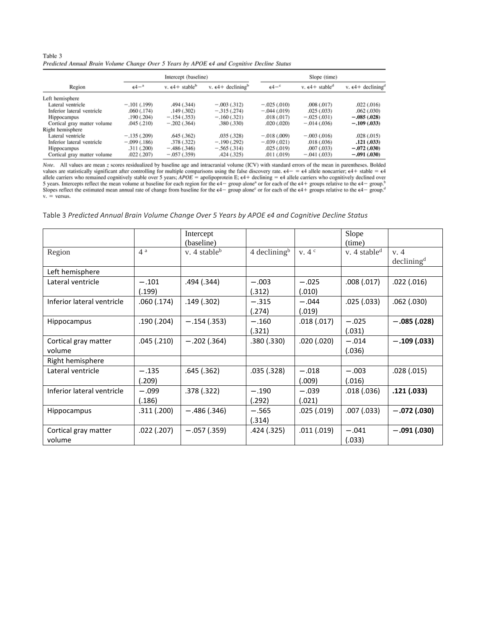| Table 3                                                                                             |  |  |  |  |  |
|-----------------------------------------------------------------------------------------------------|--|--|--|--|--|
| Predicted Annual Brain Volume Change Over 5 Years by APOE $\epsilon$ 4 and Cognitive Decline Status |  |  |  |  |  |

|                             |                     | Intercept (baseline)                 |                                         | Slope (time)               |                                      |                                         |  |
|-----------------------------|---------------------|--------------------------------------|-----------------------------------------|----------------------------|--------------------------------------|-----------------------------------------|--|
| Region                      | $64 -$ <sup>n</sup> | v. $\epsilon$ 4+ stable <sup>b</sup> | v. $\epsilon$ 4+ declining <sup>b</sup> | $\epsilon$ 4 <sup>-c</sup> | v. $\epsilon$ 4+ stable <sup>d</sup> | v. $\epsilon$ 4+ declining <sup>d</sup> |  |
| Left hemisphere             |                     |                                      |                                         |                            |                                      |                                         |  |
| Lateral ventricle           | $-.101(.199)$       | .494 (.344)                          | $-.003(.312)$                           | $-.025(.010)$              | .008(.017)                           | .022(.016)                              |  |
| Inferior lateral ventricle  | .060(.174)          | .149(.302)                           | $-.315(.274)$                           | $-.044(.019)$              | .025(.033)                           | .062(.030)                              |  |
| <b>Hippocampus</b>          | .190 (.204)         | $-.154(.353)$                        | $-.160(.321)$                           | .018(.017)                 | $-.025(.031)$                        | $-.085(.028)$                           |  |
| Cortical gray matter volume | .045(.210)          | $-.202(.364)$                        | .380 (.330)                             | .020(.020)                 | $-.014(.036)$                        | $-.109(.033)$                           |  |
| Right hemisphere            |                     |                                      |                                         |                            |                                      |                                         |  |
| Lateral ventricle           | $-.135(.209)$       | .645(.362)                           | .035(.328)                              | $-.018(.009)$              | $-.003(.016)$                        | .028(.015)                              |  |
| Inferior lateral ventricle  | $-.099(.186)$       | .378 (.322)                          | $-.190(.292)$                           | $-.039(.021)$              | .018(.036)                           | .121(.033)                              |  |
| <b>Hippocampus</b>          | .311 (.200)         | $-.486(.346)$                        | $-.565(.314)$                           | .025(.019)                 | .007(.033)                           | $-.072(.030)$                           |  |
| Cortical gray matter volume | .022(.207)          | $-.057(.359)$                        | .424(.325)                              | .011(.019)                 | $-.041(.033)$                        | $-.091(.030)$                           |  |

Note. All values are mean z scores residualized by baseline age and intracranial volume (ICV) with standard errors of the mean in parentheses. Bolded Note. An values are statistically significant after controlling for multiple comparisons using the false discovery rate.  $\epsilon 4 - \epsilon 4$  allele noncarrier;  $\epsilon 4 + \text{ stable}$  is  $\epsilon 4$  allele carriers who remained cognitively stabl  $v_r$  = versus.

Table 3 *Predicted Annual Brain Volume Change Over 5 Years by APOE ϵ4 and Cognitive Decline Status*

|                                |                   | Intercept<br>(baseline) |                            |                   | Slope<br>(time)          |                                |
|--------------------------------|-------------------|-------------------------|----------------------------|-------------------|--------------------------|--------------------------------|
| Region                         | 4 <sup>a</sup>    | v. 4 stable $\rm^b$     | $4$ declining <sup>b</sup> | v.4 <sup>c</sup>  | v. 4 stable <sup>d</sup> | v. 4<br>declining <sup>d</sup> |
| Left hemisphere                |                   |                         |                            |                   |                          |                                |
| Lateral ventricle              | $-.101$<br>(.199) | .494 (.344)             | $-.003$<br>(.312)          | $-.025$<br>(.010) | .008(.017)               | .022(.016)                     |
| Inferior lateral ventricle     | .060 (.174)       | .149 (.302)             | $-.315$<br>(.274)          | $-.044$<br>(.019) | .025(.033)               | .062(.030)                     |
| <b>Hippocampus</b>             | .190(.204)        | $-.154(.353)$           | $-.160$<br>(.321)          | .018(.017)        | $-.025$<br>(.031)        | $-.085(.028)$                  |
| Cortical gray matter<br>volume | .045(.210)        | $-.202(.364)$           | .380(.330)                 | .020(.020)        | $-.014$<br>(.036)        | $-.109(.033)$                  |
| Right hemisphere               |                   |                         |                            |                   |                          |                                |
| Lateral ventricle              | $-.135$<br>(.209) | .645(.362)              | .035 (.328)                | $-.018$<br>(.009) | $-.003$<br>(.016)        | .028(.015)                     |
| Inferior lateral ventricle     | $-.099$<br>(.186) | .378 (.322)             | $-.190$<br>(.292)          | $-.039$<br>(.021) | .018(.036)               | .121(.033)                     |
| Hippocampus                    | .311(.200)        | $-.486(.346)$           | $-.565$<br>(.314)          | .025(.019)        | .007(.033)               | $-.072(.030)$                  |
| Cortical gray matter<br>volume | .022(.207)        | $-.057(.359)$           | .424 (.325)                | .011(.019)        | $-.041$<br>(.033)        | $-.091(.030)$                  |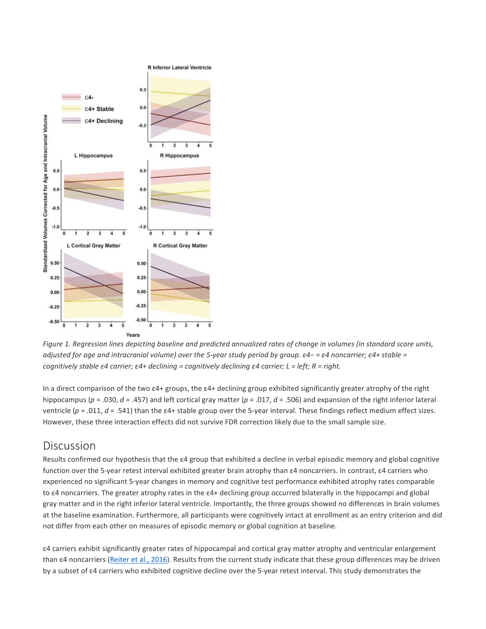

Figure 1. Regression lines depicting baseline and predicted annualized rates of change in volumes (in standard score units, adjusted for age and intracranial volume) over the 5-year study period by group.  $\varepsilon$ 4-  $\varepsilon$ 4 noncarrier;  $\varepsilon$ 4+ stable = *cognitively stable ε4 carrier; ε4+ declining = cognitively declining ε4 carrier; L = left; R = right.*

In a direct comparison of the two ε4+ groups, the ε4+ declining group exhibited significantly greater atrophy of the right hippocampus (*p* = .030, *d* = .457) and left cortical gray matter (*p* = .017, *d* = .506) and expansion of the right inferior lateral ventricle (*p* = .011, *d* = .541) than the ε4+ stable group over the 5-year interval. These findings reflect medium effect sizes. However, these three interaction effects did not survive FDR correction likely due to the small sample size.

## **[Discussion](https://0-web-b-ebscohost-com.libus.csd.mu.edu/ehost/detail/detail?vid=2&sid=e4b036ec-461a-47a7-bc9e-307d3aa3ff5a%40sessionmgr101&bdata=JnNpdGU9ZWhvc3QtbGl2ZQ%3d%3d#toc)**

Results confirmed our hypothesis that the ε4 group that exhibited a decline in verbal episodic memory and global cognitive function over the 5-year retest interval exhibited greater brain atrophy than ε4 noncarriers. In contrast, ε4 carriers who experienced no significant 5-year changes in memory and cognitive test performance exhibited atrophy rates comparable to ε4 noncarriers. The greater atrophy rates in the ε4+ declining group occurred bilaterally in the hippocampi and global gray matter and in the right inferior lateral ventricle. Importantly, the three groups showed no differences in brain volumes at the baseline examination. Furthermore, all participants were cognitively intact at enrollment as an entry criterion and did not differ from each other on measures of episodic memory or global cognition at baseline.

ε4 carriers exhibit significantly greater rates of hippocampal and cortical gray matter atrophy and ventricular enlargement than ε4 noncarriers ([Reiter](https://0-web-b-ebscohost-com.libus.csd.mu.edu/ehost/detail/detail?vid=2&sid=e4b036ec-461a-47a7-bc9e-307d3aa3ff5a%40sessionmgr101&bdata=JnNpdGU9ZWhvc3QtbGl2ZQ%3d%3d#c17) et al., 2016). Results from the current study indicate that these group differences may be driven by a subset of ε4 carriers who exhibited cognitive decline over the 5-year retest interval. This study demonstrates the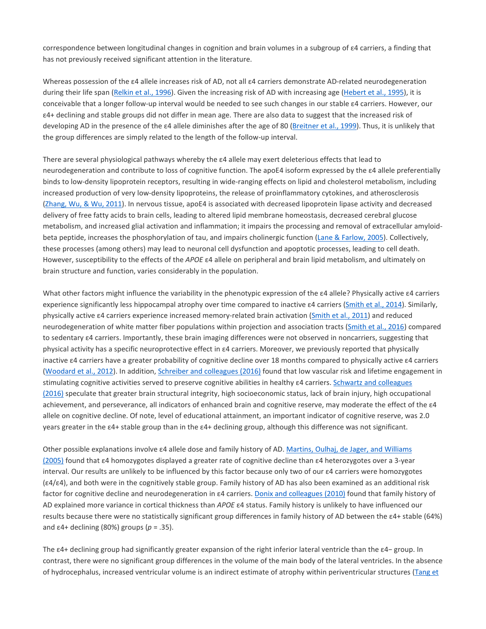correspondence between longitudinal changes in cognition and brain volumes in a subgroup of ε4 carriers, a finding that has not previously received significant attention in the literature.

Whereas possession of the ε4 allele increases risk of AD, not all ε4 carriers demonstrate AD-related neurodegeneration during their life span [\(Relkin](https://0-web-b-ebscohost-com.libus.csd.mu.edu/ehost/detail/detail?vid=2&sid=e4b036ec-461a-47a7-bc9e-307d3aa3ff5a%40sessionmgr101&bdata=JnNpdGU9ZWhvc3QtbGl2ZQ%3d%3d#c18) et al., 1996). Given the increasing risk of AD with increasing age [\(Hebert](https://0-web-b-ebscohost-com.libus.csd.mu.edu/ehost/detail/detail?vid=2&sid=e4b036ec-461a-47a7-bc9e-307d3aa3ff5a%40sessionmgr101&bdata=JnNpdGU9ZWhvc3QtbGl2ZQ%3d%3d#c7) et al., 1995), it is conceivable that a longer follow-up interval would be needed to see such changes in our stable ε4 carriers. However, our ε4+ declining and stable groups did not differ in mean age. There are also data to suggest that the increased risk of developing AD in the presence of the ε4 allele diminishes after the age of 80 ([Breitner](https://0-web-b-ebscohost-com.libus.csd.mu.edu/ehost/detail/detail?vid=2&sid=e4b036ec-461a-47a7-bc9e-307d3aa3ff5a%40sessionmgr101&bdata=JnNpdGU9ZWhvc3QtbGl2ZQ%3d%3d#c2) et al., 1999). Thus, it is unlikely that the group differences are simply related to the length of the follow-up interval.

There are several physiological pathways whereby the ε4 allele may exert deleterious effects that lead to neurodegeneration and contribute to loss of cognitive function. The apoE4 isoform expressed by the ε4 allele preferentially binds to low-density lipoprotein receptors, resulting in wide-ranging effects on lipid and cholesterol metabolism, including increased production of very low-density lipoproteins, the release of proinflammatory cytokines, and atherosclerosis [\(Zhang,](https://0-web-b-ebscohost-com.libus.csd.mu.edu/ehost/detail/detail?vid=2&sid=e4b036ec-461a-47a7-bc9e-307d3aa3ff5a%40sessionmgr101&bdata=JnNpdGU9ZWhvc3QtbGl2ZQ%3d%3d#c34) Wu, & Wu, 2011). In nervous tissue, apoE4 is associated with decreased lipoprotein lipase activity and decreased delivery of free fatty acids to brain cells, leading to altered lipid membrane homeostasis, decreased cerebral glucose metabolism, and increased glial activation and inflammation; it impairs the processing and removal of extracellular amyloidbeta peptide, increases the phosphorylation of tau, and impairs cholinergic function (Lane & [Farlow,](https://0-web-b-ebscohost-com.libus.csd.mu.edu/ehost/detail/detail?vid=2&sid=e4b036ec-461a-47a7-bc9e-307d3aa3ff5a%40sessionmgr101&bdata=JnNpdGU9ZWhvc3QtbGl2ZQ%3d%3d#c9) 2005). Collectively, these processes (among others) may lead to neuronal cell dysfunction and apoptotic processes, leading to cell death. However, susceptibility to the effects of the *APOE* ε4 allele on peripheral and brain lipid metabolism, and ultimately on brain structure and function, varies considerably in the population.

What other factors might influence the variability in the phenotypic expression of the ε4 allele? Physically active ε4 carriers experience significantly less hippocampal atrophy over time compared to inactive ε4 carriers ([Smith](https://0-web-b-ebscohost-com.libus.csd.mu.edu/ehost/detail/detail?vid=2&sid=e4b036ec-461a-47a7-bc9e-307d3aa3ff5a%40sessionmgr101&bdata=JnNpdGU9ZWhvc3QtbGl2ZQ%3d%3d#c28) et al., 2014). Similarly, physically active ε4 carriers experience increased memory-related brain activation [\(Smith](https://0-web-b-ebscohost-com.libus.csd.mu.edu/ehost/detail/detail?vid=2&sid=e4b036ec-461a-47a7-bc9e-307d3aa3ff5a%40sessionmgr101&bdata=JnNpdGU9ZWhvc3QtbGl2ZQ%3d%3d#c27) et al., 2011) and reduced neurodegeneration of white matter fiber populations within projection and association tracts [\(Smith](https://0-web-b-ebscohost-com.libus.csd.mu.edu/ehost/detail/detail?vid=2&sid=e4b036ec-461a-47a7-bc9e-307d3aa3ff5a%40sessionmgr101&bdata=JnNpdGU9ZWhvc3QtbGl2ZQ%3d%3d#c26) et al., 2016) compared to sedentary ε4 carriers. Importantly, these brain imaging differences were not observed in noncarriers, suggesting that physical activity has a specific neuroprotective effect in ε4 carriers. Moreover, we previously reported that physically inactive ε4 carriers have a greater probability of cognitive decline over 18 months compared to physically active ε4 carriers [\(Woodard](https://0-web-b-ebscohost-com.libus.csd.mu.edu/ehost/detail/detail?vid=2&sid=e4b036ec-461a-47a7-bc9e-307d3aa3ff5a%40sessionmgr101&bdata=JnNpdGU9ZWhvc3QtbGl2ZQ%3d%3d#c33) et al., 2012). In addition, Schreiber and [colleagues](https://0-web-b-ebscohost-com.libus.csd.mu.edu/ehost/detail/detail?vid=2&sid=e4b036ec-461a-47a7-bc9e-307d3aa3ff5a%40sessionmgr101&bdata=JnNpdGU9ZWhvc3QtbGl2ZQ%3d%3d#c21) (2016) found that low vascular risk and lifetime engagement in stimulating cognitive activities served to preserve cognitive abilities in healthy  $\varepsilon$ 4 carriers. Schwartz and [colleagues](https://0-web-b-ebscohost-com.libus.csd.mu.edu/ehost/detail/detail?vid=2&sid=e4b036ec-461a-47a7-bc9e-307d3aa3ff5a%40sessionmgr101&bdata=JnNpdGU9ZWhvc3QtbGl2ZQ%3d%3d#c22) [\(2016\)](https://0-web-b-ebscohost-com.libus.csd.mu.edu/ehost/detail/detail?vid=2&sid=e4b036ec-461a-47a7-bc9e-307d3aa3ff5a%40sessionmgr101&bdata=JnNpdGU9ZWhvc3QtbGl2ZQ%3d%3d#c22) speculate that greater brain structural integrity, high socioeconomic status, lack of brain injury, high occupational achievement, and perseverance, all indicators of enhanced brain and cognitive reserve, may moderate the effect of the ε4 allele on cognitive decline. Of note, level of educational attainment, an important indicator of cognitive reserve, was 2.0 years greater in the ε4+ stable group than in the ε4+ declining group, although this difference was not significant.

Other possible explanations involve ε4 allele dose and family history of AD. Martins, Oulhaj, de Jager, and [Williams](https://0-web-b-ebscohost-com.libus.csd.mu.edu/ehost/detail/detail?vid=2&sid=e4b036ec-461a-47a7-bc9e-307d3aa3ff5a%40sessionmgr101&bdata=JnNpdGU9ZWhvc3QtbGl2ZQ%3d%3d#c13) [\(2005\)](https://0-web-b-ebscohost-com.libus.csd.mu.edu/ehost/detail/detail?vid=2&sid=e4b036ec-461a-47a7-bc9e-307d3aa3ff5a%40sessionmgr101&bdata=JnNpdGU9ZWhvc3QtbGl2ZQ%3d%3d#c13) found that ε4 homozygotes displayed a greater rate of cognitive decline than ε4 heterozygotes over a 3-year interval. Our results are unlikely to be influenced by this factor because only two of our ε4 carriers were homozygotes (ε4/ε4), and both were in the cognitively stable group. Family history of AD has also been examined as an additional risk factor for cognitive decline and neurodegeneration in ε4 carriers. Donix and [colleagues](https://0-web-b-ebscohost-com.libus.csd.mu.edu/ehost/detail/detail?vid=2&sid=e4b036ec-461a-47a7-bc9e-307d3aa3ff5a%40sessionmgr101&bdata=JnNpdGU9ZWhvc3QtbGl2ZQ%3d%3d#c4) (2010) found that family history of AD explained more variance in cortical thickness than *APOE* ε4 status. Family history is unlikely to have influenced our results because there were no statistically significant group differences in family history of AD between the ε4+ stable (64%) and ε4+ declining (80%) groups (*p* = .35).

The ε4+ declining group had significantly greater expansion of the right inferior lateral ventricle than the ε4− group. In contrast, there were no significant group differences in the volume of the main body of the lateral ventricles. In the absence of hydrocephalus, increased ventricular volume is an indirect estimate of atrophy within periventricular structures [\(Tang](https://0-web-b-ebscohost-com.libus.csd.mu.edu/ehost/detail/detail?vid=2&sid=e4b036ec-461a-47a7-bc9e-307d3aa3ff5a%40sessionmgr101&bdata=JnNpdGU9ZWhvc3QtbGl2ZQ%3d%3d#c29) et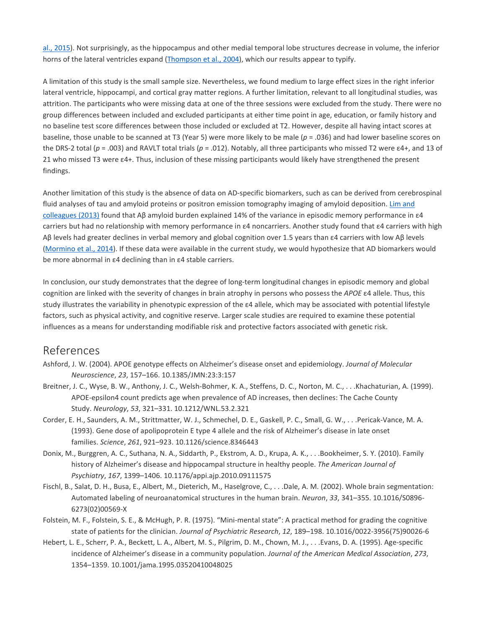al., [2015\)](https://0-web-b-ebscohost-com.libus.csd.mu.edu/ehost/detail/detail?vid=2&sid=e4b036ec-461a-47a7-bc9e-307d3aa3ff5a%40sessionmgr101&bdata=JnNpdGU9ZWhvc3QtbGl2ZQ%3d%3d#c29). Not surprisingly, as the hippocampus and other medial temporal lobe structures decrease in volume, the inferior horns of the lateral ventricles expand [\(Thompson](https://0-web-b-ebscohost-com.libus.csd.mu.edu/ehost/detail/detail?vid=2&sid=e4b036ec-461a-47a7-bc9e-307d3aa3ff5a%40sessionmgr101&bdata=JnNpdGU9ZWhvc3QtbGl2ZQ%3d%3d#c30) et al., 2004), which our results appear to typify.

A limitation of this study is the small sample size. Nevertheless, we found medium to large effect sizes in the right inferior lateral ventricle, hippocampi, and cortical gray matter regions. A further limitation, relevant to all longitudinal studies, was attrition. The participants who were missing data at one of the three sessions were excluded from the study. There were no group differences between included and excluded participants at either time point in age, education, or family history and no baseline test score differences between those included or excluded at T2. However, despite all having intact scores at baseline, those unable to be scanned at T3 (Year 5) were more likely to be male (*p* = .036) and had lower baseline scores on the DRS-2 total (*p* = .003) and RAVLT total trials (*p* = .012). Notably, all three participants who missed T2 were ε4+, and 13 of 21 who missed T3 were ε4+. Thus, inclusion of these missing participants would likely have strengthened the present findings.

Another limitation of this study is the absence of data on AD-specific biomarkers, such as can be derived from cerebrospinal fluid analyses of tau and amyloid proteins or positron emission tomography imaging of amyloid deposition. Lim [and](https://0-web-b-ebscohost-com.libus.csd.mu.edu/ehost/detail/detail?vid=2&sid=e4b036ec-461a-47a7-bc9e-307d3aa3ff5a%40sessionmgr101&bdata=JnNpdGU9ZWhvc3QtbGl2ZQ%3d%3d#c10) [colleagues](https://0-web-b-ebscohost-com.libus.csd.mu.edu/ehost/detail/detail?vid=2&sid=e4b036ec-461a-47a7-bc9e-307d3aa3ff5a%40sessionmgr101&bdata=JnNpdGU9ZWhvc3QtbGl2ZQ%3d%3d#c10) (2013) found that Aβ amyloid burden explained 14% of the variance in episodic memory performance in ε4 carriers but had no relationship with memory performance in ε4 noncarriers. Another study found that ε4 carriers with high Aβ levels had greater declines in verbal memory and global cognition over 1.5 years than ε4 carriers with low Aβ levels [\(Mormino](https://0-web-b-ebscohost-com.libus.csd.mu.edu/ehost/detail/detail?vid=2&sid=e4b036ec-461a-47a7-bc9e-307d3aa3ff5a%40sessionmgr101&bdata=JnNpdGU9ZWhvc3QtbGl2ZQ%3d%3d#c14) et al., 2014). If these data were available in the current study, we would hypothesize that AD biomarkers would be more abnormal in ε4 declining than in ε4 stable carriers.

In conclusion, our study demonstrates that the degree of long-term longitudinal changes in episodic memory and global cognition are linked with the severity of changes in brain atrophy in persons who possess the *APOE* ε4 allele. Thus, this study illustrates the variability in phenotypic expression of the ε4 allele, which may be associated with potential lifestyle factors, such as physical activity, and cognitive reserve. Larger scale studies are required to examine these potential influences as a means for understanding modifiable risk and protective factors associated with genetic risk.

## [References](https://0-web-b-ebscohost-com.libus.csd.mu.edu/ehost/detail/detail?vid=2&sid=e4b036ec-461a-47a7-bc9e-307d3aa3ff5a%40sessionmgr101&bdata=JnNpdGU9ZWhvc3QtbGl2ZQ%3d%3d#toc)

- Ashford, J. W. (2004). APOE genotype effects on Alzheimer's disease onset and epidemiology. *Journal of Molecular Neuroscience*, *23*, 157–166. 10.1385/JMN:23:3:157
- Breitner, J. C., Wyse, B. W., Anthony, J. C., Welsh-Bohmer, K. A., Steffens, D. C., Norton, M. C., . . .Khachaturian, A. (1999). APOE-epsilon4 count predicts age when prevalence of AD increases, then declines: The Cache County Study. *Neurology*, *53*, 321–331. 10.1212/WNL.53.2.321
- Corder, E. H., Saunders, A. M., Strittmatter, W. J., Schmechel, D. E., Gaskell, P. C., Small, G. W., . . .Pericak-Vance, M. A. (1993). Gene dose of apolipoprotein E type 4 allele and the risk of Alzheimer's disease in late onset families. *Science*, *261*, 921–923. 10.1126/science.8346443
- Donix, M., Burggren, A. C., Suthana, N. A., Siddarth, P., Ekstrom, A. D., Krupa, A. K., . . .Bookheimer, S. Y. (2010). Family history of Alzheimer's disease and hippocampal structure in healthy people. *The American Journal of Psychiatry*, *167*, 1399–1406. 10.1176/appi.ajp.2010.09111575
- Fischl, B., Salat, D. H., Busa, E., Albert, M., Dieterich, M., Haselgrove, C., . . .Dale, A. M. (2002). Whole brain segmentation: Automated labeling of neuroanatomical structures in the human brain. *Neuron*, *33*, 341–355. 10.1016/S0896- 6273(02)00569-X
- Folstein, M. F., Folstein, S. E., & McHugh, P. R. (1975). "Mini-mental state": A practical method for grading the cognitive state of patients for the clinician. *Journal of Psychiatric Research*, *12*, 189–198. 10.1016/0022-3956(75)90026-6
- Hebert, L. E., Scherr, P. A., Beckett, L. A., Albert, M. S., Pilgrim, D. M., Chown, M. J., . . .Evans, D. A. (1995). Age-specific incidence of Alzheimer's disease in a community population. *Journal of the American Medical Association*, *273*, 1354–1359. 10.1001/jama.1995.03520410048025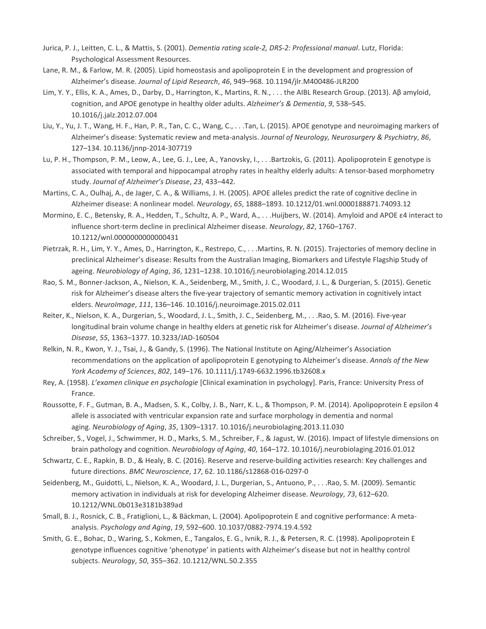- Jurica, P. J., Leitten, C. L., & Mattis, S. (2001). *Dementia rating scale-2, DRS-2: Professional manual*. Lutz, Florida: Psychological Assessment Resources.
- Lane, R. M., & Farlow, M. R. (2005). Lipid homeostasis and apolipoprotein E in the development and progression of Alzheimer's disease. *Journal of Lipid Research*, *46*, 949–968. 10.1194/jlr.M400486-JLR200
- Lim, Y. Y., Ellis, K. A., Ames, D., Darby, D., Harrington, K., Martins, R. N., . . . the AIBL Research Group. (2013). Aβ amyloid, cognition, and APOE genotype in healthy older adults. *Alzheimer's & Dementia*, *9*, 538–545. 10.1016/j.jalz.2012.07.004
- Liu, Y., Yu, J. T., Wang, H. F., Han, P. R., Tan, C. C., Wang, C., . . .Tan, L. (2015). APOE genotype and neuroimaging markers of Alzheimer's disease: Systematic review and meta-analysis. *Journal of Neurology, Neurosurgery & Psychiatry*, *86*, 127–134. 10.1136/jnnp-2014-307719
- Lu, P. H., Thompson, P. M., Leow, A., Lee, G. J., Lee, A., Yanovsky, I., . . .Bartzokis, G. (2011). Apolipoprotein E genotype is associated with temporal and hippocampal atrophy rates in healthy elderly adults: A tensor-based morphometry study. *Journal of Alzheimer's Disease*, *23*, 433–442.
- Martins, C. A., Oulhaj, A., de Jager, C. A., & Williams, J. H. (2005). APOE alleles predict the rate of cognitive decline in Alzheimer disease: A nonlinear model. *Neurology*, *65*, 1888–1893. 10.1212/01.wnl.0000188871.74093.12
- Mormino, E. C., Betensky, R. A., Hedden, T., Schultz, A. P., Ward, A., . . .Huijbers, W. (2014). Amyloid and APOE ε4 interact to influence short-term decline in preclinical Alzheimer disease. *Neurology*, *82*, 1760–1767. 10.1212/wnl.0000000000000431
- Pietrzak, R. H., Lim, Y. Y., Ames, D., Harrington, K., Restrepo, C., . . .Martins, R. N. (2015). Trajectories of memory decline in preclinical Alzheimer's disease: Results from the Australian Imaging, Biomarkers and Lifestyle Flagship Study of ageing. *Neurobiology of Aging*, *36*, 1231–1238. 10.1016/j.neurobiolaging.2014.12.015
- Rao, S. M., Bonner-Jackson, A., Nielson, K. A., Seidenberg, M., Smith, J. C., Woodard, J. L., & Durgerian, S. (2015). Genetic risk for Alzheimer's disease alters the five-year trajectory of semantic memory activation in cognitively intact elders. *NeuroImage*, *111*, 136–146. 10.1016/j.neuroimage.2015.02.011
- Reiter, K., Nielson, K. A., Durgerian, S., Woodard, J. L., Smith, J. C., Seidenberg, M., . . .Rao, S. M. (2016). Five-year longitudinal brain volume change in healthy elders at genetic risk for Alzheimer's disease. *Journal of Alzheimer's Disease*, *55*, 1363–1377. 10.3233/JAD-160504
- Relkin, N. R., Kwon, Y. J., Tsai, J., & Gandy, S. (1996). The National Institute on Aging/Alzheimer's Association recommendations on the application of apolipoprotein E genotyping to Alzheimer's disease. *Annals of the New York Academy of Sciences*, *802*, 149–176. 10.1111/j.1749-6632.1996.tb32608.x
- Rey, A. (1958). *L'examen clinique en psychologie* [Clinical examination in psychology]. Paris, France: University Press of France.
- Roussotte, F. F., Gutman, B. A., Madsen, S. K., Colby, J. B., Narr, K. L., & Thompson, P. M. (2014). Apolipoprotein E epsilon 4 allele is associated with ventricular expansion rate and surface morphology in dementia and normal aging. *Neurobiology of Aging*, *35*, 1309–1317. 10.1016/j.neurobiolaging.2013.11.030
- Schreiber, S., Vogel, J., Schwimmer, H. D., Marks, S. M., Schreiber, F., & Jagust, W. (2016). Impact of lifestyle dimensions on brain pathology and cognition. *Neurobiology of Aging*, *40*, 164–172. 10.1016/j.neurobiolaging.2016.01.012
- Schwartz, C. E., Rapkin, B. D., & Healy, B. C. (2016). Reserve and reserve-building activities research: Key challenges and future directions. *BMC Neuroscience*, *17*, 62. 10.1186/s12868-016-0297-0
- Seidenberg, M., Guidotti, L., Nielson, K. A., Woodard, J. L., Durgerian, S., Antuono, P., . . .Rao, S. M. (2009). Semantic memory activation in individuals at risk for developing Alzheimer disease. *Neurology*, *73*, 612–620. 10.1212/WNL.0b013e3181b389ad
- Small, B. J., Rosnick, C. B., Fratiglioni, L., & Bäckman, L. (2004). Apolipoprotein E and cognitive performance: A metaanalysis. *Psychology and Aging*, *19*, 592–600. 10.1037/0882-7974.19.4.592
- Smith, G. E., Bohac, D., Waring, S., Kokmen, E., Tangalos, E. G., Ivnik, R. J., & Petersen, R. C. (1998). Apolipoprotein E genotype influences cognitive 'phenotype' in patients with Alzheimer's disease but not in healthy control subjects. *Neurology*, *50*, 355–362. 10.1212/WNL.50.2.355